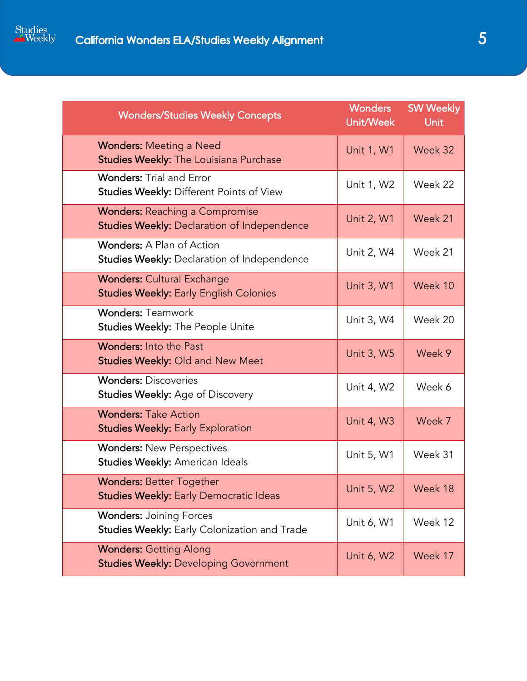

| <b>Wonders/Studies Weekly Concepts</b>                                               | <b>Wonders</b><br>Unit/Week | <b>SW Weekly</b><br><b>Unit</b> |
|--------------------------------------------------------------------------------------|-----------------------------|---------------------------------|
| <b>Wonders: Meeting a Need</b><br>Studies Weekly: The Louisiana Purchase             | <b>Unit 1, W1</b>           | Week 32                         |
| <b>Wonders: Trial and Error</b><br>Studies Weekly: Different Points of View          | Unit 1, W2                  | Week 22                         |
| <b>Wonders: Reaching a Compromise</b><br>Studies Weekly: Declaration of Independence | <b>Unit 2, W1</b>           | Week 21                         |
| <b>Wonders: A Plan of Action</b><br>Studies Weekly: Declaration of Independence      | Unit 2, W4                  | Week 21                         |
| <b>Wonders: Cultural Exchange</b><br><b>Studies Weekly: Early English Colonies</b>   | Unit 3, W1                  | Week 10                         |
| <b>Wonders: Teamwork</b><br>Studies Weekly: The People Unite                         | Unit 3, W4                  | Week 20                         |
| <b>Wonders: Into the Past</b><br><b>Studies Weekly: Old and New Meet</b>             | <b>Unit 3, W5</b>           | Week 9                          |
| <b>Wonders: Discoveries</b><br><b>Studies Weekly: Age of Discovery</b>               | Unit 4, W2                  | Week 6                          |
| <b>Wonders: Take Action</b><br><b>Studies Weekly: Early Exploration</b>              | <b>Unit 4, W3</b>           | Week 7                          |
| <b>Wonders: New Perspectives</b><br>Studies Weekly: American Ideals                  | Unit 5, W1                  | Week 31                         |
| <b>Wonders: Better Together</b><br><b>Studies Weekly: Early Democratic Ideas</b>     | <b>Unit 5, W2</b>           | Week 18                         |
| <b>Wonders: Joining Forces</b><br>Studies Weekly: Early Colonization and Trade       | Unit 6, W1                  | Week 12                         |
| <b>Wonders: Getting Along</b><br><b>Studies Weekly: Developing Government</b>        | Unit 6, W2                  | Week 17                         |